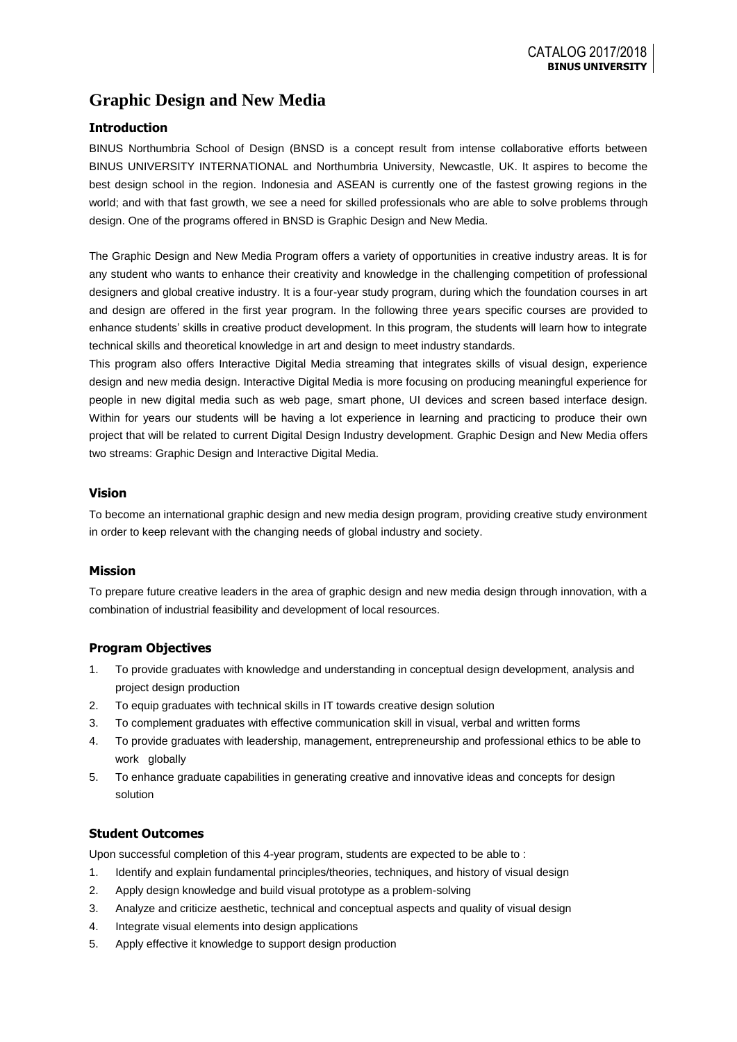# **Graphic Design and New Media**

# **Introduction**

BINUS Northumbria School of Design (BNSD is a concept result from intense collaborative efforts between BINUS UNIVERSITY INTERNATIONAL and Northumbria University, Newcastle, UK. It aspires to become the best design school in the region. Indonesia and ASEAN is currently one of the fastest growing regions in the world; and with that fast growth, we see a need for skilled professionals who are able to solve problems through design. One of the programs offered in BNSD is Graphic Design and New Media.

The Graphic Design and New Media Program offers a variety of opportunities in creative industry areas. It is for any student who wants to enhance their creativity and knowledge in the challenging competition of professional designers and global creative industry. It is a four-year study program, during which the foundation courses in art and design are offered in the first year program. In the following three years specific courses are provided to enhance students' skills in creative product development. In this program, the students will learn how to integrate technical skills and theoretical knowledge in art and design to meet industry standards.

This program also offers Interactive Digital Media streaming that integrates skills of visual design, experience design and new media design. Interactive Digital Media is more focusing on producing meaningful experience for people in new digital media such as web page, smart phone, UI devices and screen based interface design. Within for years our students will be having a lot experience in learning and practicing to produce their own project that will be related to current Digital Design Industry development. Graphic Design and New Media offers two streams: Graphic Design and Interactive Digital Media.

## **Vision**

To become an international graphic design and new media design program, providing creative study environment in order to keep relevant with the changing needs of global industry and society.

## **Mission**

To prepare future creative leaders in the area of graphic design and new media design through innovation, with a combination of industrial feasibility and development of local resources.

# **Program Objectives**

- 1. To provide graduates with knowledge and understanding in conceptual design development, analysis and project design production
- 2. To equip graduates with technical skills in IT towards creative design solution
- 3. To complement graduates with effective communication skill in visual, verbal and written forms
- 4. To provide graduates with leadership, management, entrepreneurship and professional ethics to be able to work globally
- 5. To enhance graduate capabilities in generating creative and innovative ideas and concepts for design solution

# **Student Outcomes**

Upon successful completion of this 4-year program, students are expected to be able to :

- 1. Identify and explain fundamental principles/theories, techniques, and history of visual design
- 2. Apply design knowledge and build visual prototype as a problem-solving
- 3. Analyze and criticize aesthetic, technical and conceptual aspects and quality of visual design
- 4. Integrate visual elements into design applications
- 5. Apply effective it knowledge to support design production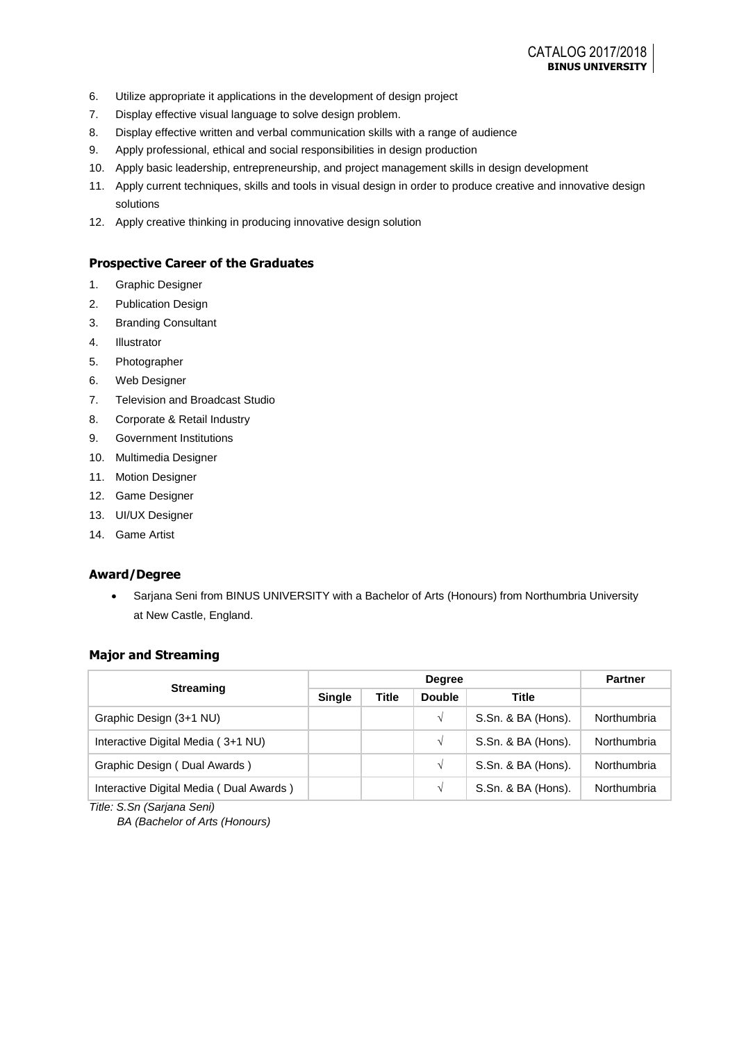- 6. Utilize appropriate it applications in the development of design project
- 7. Display effective visual language to solve design problem.
- 8. Display effective written and verbal communication skills with a range of audience
- 9. Apply professional, ethical and social responsibilities in design production
- 10. Apply basic leadership, entrepreneurship, and project management skills in design development
- 11. Apply current techniques, skills and tools in visual design in order to produce creative and innovative design solutions
- 12. Apply creative thinking in producing innovative design solution

### **Prospective Career of the Graduates**

- 1. Graphic Designer
- 2. Publication Design
- 3. Branding Consultant
- 4. Illustrator
- 5. Photographer
- 6. Web Designer
- 7. Television and Broadcast Studio
- 8. Corporate & Retail Industry
- 9. Government Institutions
- 10. Multimedia Designer
- 11. Motion Designer
- 12. Game Designer
- 13. UI/UX Designer
- 14. Game Artist

## **Award/Degree**

• Sarjana Seni from BINUS UNIVERSITY with a Bachelor of Arts (Honours) from Northumbria University at New Castle, England.

#### **Major and Streaming**

|                                         |               | <b>Partner</b>                         |            |                    |             |
|-----------------------------------------|---------------|----------------------------------------|------------|--------------------|-------------|
| <b>Streaming</b>                        | <b>Single</b> | <b>Title</b><br><b>Double</b><br>Title |            |                    |             |
| Graphic Design (3+1 NU)                 |               |                                        | $\sqrt{ }$ | S.Sn. & BA (Hons). | Northumbria |
| Interactive Digital Media (3+1 NU)      |               |                                        | $\sqrt{ }$ | S.Sn. & BA (Hons). | Northumbria |
| Graphic Design (Dual Awards)            |               |                                        | $\sqrt{ }$ | S.Sn. & BA (Hons). | Northumbria |
| Interactive Digital Media (Dual Awards) |               |                                        | $\sqrt{ }$ | S.Sn. & BA (Hons). | Northumbria |
| Title: S.Sn (Sarjana Seni)              |               |                                        |            |                    |             |

*BA (Bachelor of Arts (Honours)*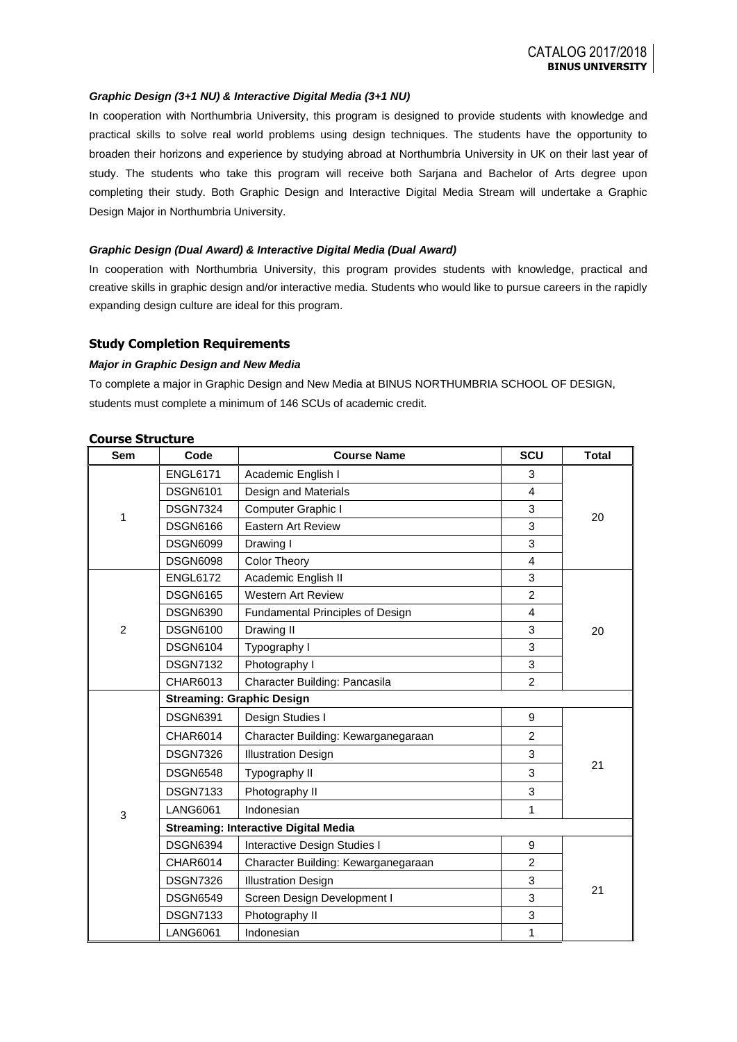#### *Graphic Design (3+1 NU) & Interactive Digital Media (3+1 NU)*

In cooperation with Northumbria University, this program is designed to provide students with knowledge and practical skills to solve real world problems using design techniques. The students have the opportunity to broaden their horizons and experience by studying abroad at Northumbria University in UK on their last year of study. The students who take this program will receive both Sarjana and Bachelor of Arts degree upon completing their study. Both Graphic Design and Interactive Digital Media Stream will undertake a Graphic Design Major in Northumbria University.

#### *Graphic Design (Dual Award) & Interactive Digital Media (Dual Award)*

In cooperation with Northumbria University, this program provides students with knowledge, practical and creative skills in graphic design and/or interactive media. Students who would like to pursue careers in the rapidly expanding design culture are ideal for this program.

#### **Study Completion Requirements**

#### *Major in Graphic Design and New Media*

To complete a major in Graphic Design and New Media at BINUS NORTHUMBRIA SCHOOL OF DESIGN, students must complete a minimum of 146 SCUs of academic credit.

| <b>Sem</b>     | Code                                        | <b>Course Name</b>                  | SCU            | <b>Total</b> |  |  |  |  |
|----------------|---------------------------------------------|-------------------------------------|----------------|--------------|--|--|--|--|
|                | <b>ENGL6171</b>                             | Academic English I                  | 3              |              |  |  |  |  |
|                | <b>DSGN6101</b>                             | Design and Materials                | $\overline{4}$ |              |  |  |  |  |
| 1              | <b>DSGN7324</b>                             | Computer Graphic I                  | 3              |              |  |  |  |  |
|                | <b>DSGN6166</b>                             | <b>Eastern Art Review</b>           | 3              | 20           |  |  |  |  |
|                | <b>DSGN6099</b>                             | Drawing I                           | 3              |              |  |  |  |  |
|                | <b>DSGN6098</b>                             | <b>Color Theory</b>                 | $\overline{4}$ |              |  |  |  |  |
|                | <b>ENGL6172</b>                             | Academic English II                 | 3              |              |  |  |  |  |
|                | <b>DSGN6165</b>                             | <b>Western Art Review</b>           | $\overline{2}$ |              |  |  |  |  |
|                | <b>DSGN6390</b>                             | Fundamental Principles of Design    | $\overline{4}$ |              |  |  |  |  |
| $\overline{2}$ | <b>DSGN6100</b>                             | Drawing II                          | 3              | 20           |  |  |  |  |
|                | <b>DSGN6104</b>                             | Typography I                        | 3              |              |  |  |  |  |
|                | <b>DSGN7132</b>                             | Photography I                       | 3              |              |  |  |  |  |
|                | CHAR6013                                    | Character Building: Pancasila       |                |              |  |  |  |  |
|                | <b>Streaming: Graphic Design</b>            |                                     |                |              |  |  |  |  |
|                | <b>DSGN6391</b>                             | Design Studies I                    | 9              |              |  |  |  |  |
|                | <b>CHAR6014</b>                             | Character Building: Kewarganegaraan | $\overline{2}$ |              |  |  |  |  |
|                | <b>DSGN7326</b>                             | <b>Illustration Design</b>          | 3              |              |  |  |  |  |
|                | <b>DSGN6548</b>                             | Typography II                       | 3              | 21           |  |  |  |  |
|                | <b>DSGN7133</b>                             | Photography II                      | 3              |              |  |  |  |  |
| 3              | <b>LANG6061</b>                             | Indonesian                          | 1              |              |  |  |  |  |
|                | <b>Streaming: Interactive Digital Media</b> |                                     |                |              |  |  |  |  |
|                | <b>DSGN6394</b>                             | Interactive Design Studies I        | 9              |              |  |  |  |  |
|                | CHAR6014                                    | Character Building: Kewarganegaraan | $\overline{c}$ |              |  |  |  |  |
|                | <b>DSGN7326</b>                             | <b>Illustration Design</b>          | 3              |              |  |  |  |  |
|                | <b>DSGN6549</b>                             | Screen Design Development I         | 3              | 21           |  |  |  |  |
|                | <b>DSGN7133</b>                             | Photography II                      |                |              |  |  |  |  |
|                | <b>LANG6061</b>                             | Indonesian                          | 1              |              |  |  |  |  |

#### **Course Structure**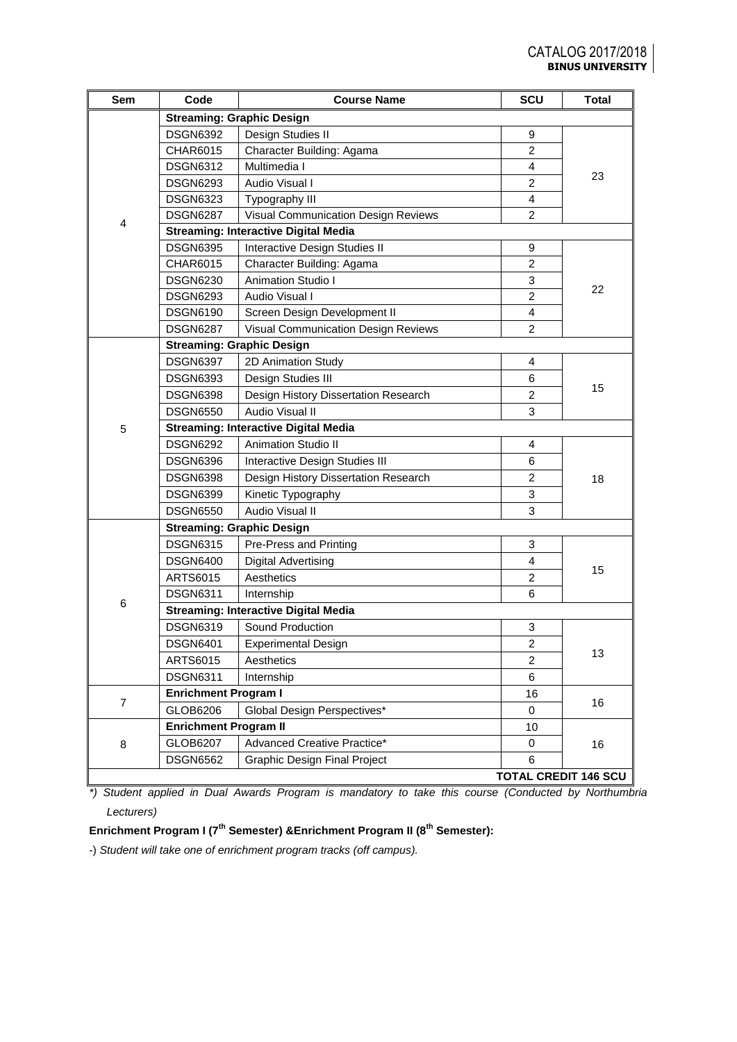| Sem            | Code                                        | <b>Course Name</b>                          | SCU                         | <b>Total</b> |  |  |  |  |
|----------------|---------------------------------------------|---------------------------------------------|-----------------------------|--------------|--|--|--|--|
|                |                                             | <b>Streaming: Graphic Design</b>            |                             |              |  |  |  |  |
|                | <b>DSGN6392</b>                             | Design Studies II                           | 9                           |              |  |  |  |  |
|                | CHAR6015                                    | Character Building: Agama                   | $\overline{2}$              |              |  |  |  |  |
|                | <b>DSGN6312</b>                             | Multimedia I                                | 4                           |              |  |  |  |  |
|                | <b>DSGN6293</b>                             | Audio Visual I                              | $\overline{2}$              | 23           |  |  |  |  |
|                | <b>DSGN6323</b>                             | Typography III                              | 4                           |              |  |  |  |  |
| 4              | <b>DSGN6287</b>                             | <b>Visual Communication Design Reviews</b>  | $\overline{2}$              |              |  |  |  |  |
|                | <b>Streaming: Interactive Digital Media</b> |                                             |                             |              |  |  |  |  |
|                | <b>DSGN6395</b>                             | Interactive Design Studies II               | 9                           |              |  |  |  |  |
|                | CHAR6015                                    | Character Building: Agama                   | $\overline{c}$              |              |  |  |  |  |
|                | <b>DSGN6230</b>                             | <b>Animation Studio I</b>                   | 3                           |              |  |  |  |  |
|                | <b>DSGN6293</b>                             | Audio Visual I                              | $\overline{2}$              | 22           |  |  |  |  |
|                | <b>DSGN6190</b>                             | Screen Design Development II                | $\overline{4}$              |              |  |  |  |  |
|                | <b>DSGN6287</b>                             | Visual Communication Design Reviews         | $\overline{c}$              |              |  |  |  |  |
|                |                                             | <b>Streaming: Graphic Design</b>            |                             |              |  |  |  |  |
|                | <b>DSGN6397</b>                             | 2D Animation Study                          | 4                           |              |  |  |  |  |
|                | <b>DSGN6393</b>                             | Design Studies III                          | 6                           |              |  |  |  |  |
|                | <b>DSGN6398</b>                             | Design History Dissertation Research        | 2                           | 15           |  |  |  |  |
|                | <b>DSGN6550</b>                             | Audio Visual II                             | 3                           |              |  |  |  |  |
| 5              | <b>Streaming: Interactive Digital Media</b> |                                             |                             |              |  |  |  |  |
|                | <b>DSGN6292</b>                             | <b>Animation Studio II</b><br>4             |                             |              |  |  |  |  |
|                | <b>DSGN6396</b>                             | Interactive Design Studies III              | 6                           | 18           |  |  |  |  |
|                | <b>DSGN6398</b>                             | Design History Dissertation Research        | $\overline{c}$              |              |  |  |  |  |
|                | <b>DSGN6399</b>                             | Kinetic Typography                          | 3                           |              |  |  |  |  |
|                | <b>DSGN6550</b>                             | Audio Visual II                             | 3                           |              |  |  |  |  |
|                |                                             |                                             |                             |              |  |  |  |  |
|                | <b>DSGN6315</b>                             | Pre-Press and Printing                      | 3                           |              |  |  |  |  |
|                | <b>DSGN6400</b>                             | <b>Digital Advertising</b>                  | 4                           |              |  |  |  |  |
|                | <b>ARTS6015</b>                             | Aesthetics                                  | $\overline{2}$              | 15           |  |  |  |  |
|                | <b>DSGN6311</b>                             | Internship                                  | 6                           |              |  |  |  |  |
| 6              |                                             | <b>Streaming: Interactive Digital Media</b> |                             |              |  |  |  |  |
|                | <b>DSGN6319</b>                             | Sound Production                            | 3                           |              |  |  |  |  |
|                | <b>DSGN6401</b>                             | <b>Experimental Design</b>                  | $\boldsymbol{2}$            |              |  |  |  |  |
|                | ARTS6015                                    | Aesthetics                                  | 2                           | 13           |  |  |  |  |
|                | <b>DSGN6311</b>                             | Internship                                  | 6                           |              |  |  |  |  |
|                | <b>Enrichment Program I</b>                 |                                             | 16                          |              |  |  |  |  |
| $\overline{7}$ | GLOB6206                                    | Global Design Perspectives*                 | 0                           | 16           |  |  |  |  |
|                | <b>Enrichment Program II</b>                |                                             | 10                          |              |  |  |  |  |
| 8              | GLOB6207                                    | Advanced Creative Practice*                 | 0                           | 16           |  |  |  |  |
|                | <b>DSGN6562</b>                             | <b>Graphic Design Final Project</b>         | 6                           |              |  |  |  |  |
|                |                                             |                                             | <b>TOTAL CREDIT 146 SCU</b> |              |  |  |  |  |

*\*) Student applied in Dual Awards Program is mandatory to take this course (Conducted by Northumbria Lecturers)*

# **Enrichment Program I (7th Semester) &Enrichment Program II (8th Semester):**

-) *Student will take one of enrichment program tracks (off campus).*